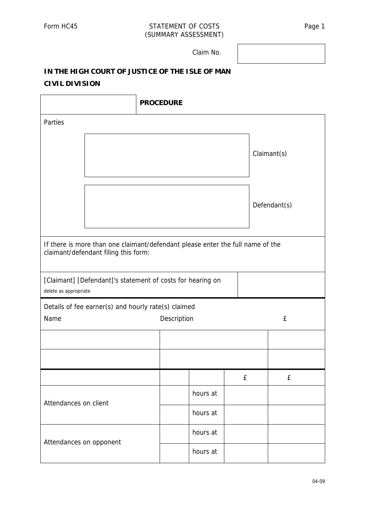## Form HC45 STATEMENT OF COSTS Page 1 (SUMMARY ASSESSMENT)

Claim No.

## **IN THE HIGH COURT OF JUSTICE OF THE ISLE OF MAN CIVIL DIVISION**

|                                                                                                                        | <b>PROCEDURE</b> |             |   |  |              |  |  |
|------------------------------------------------------------------------------------------------------------------------|------------------|-------------|---|--|--------------|--|--|
| Parties                                                                                                                |                  |             |   |  |              |  |  |
|                                                                                                                        |                  |             |   |  | Claimant(s)  |  |  |
|                                                                                                                        |                  |             |   |  | Defendant(s) |  |  |
| If there is more than one claimant/defendant please enter the full name of the<br>claimant/defendant filing this form: |                  |             |   |  |              |  |  |
| [Claimant] [Defendant]'s statement of costs for hearing on<br>delete as appropriate                                    |                  |             |   |  |              |  |  |
| Details of fee earner(s) and hourly rate(s) claimed                                                                    |                  |             |   |  |              |  |  |
| Name                                                                                                                   |                  | Description |   |  | £            |  |  |
|                                                                                                                        |                  |             |   |  |              |  |  |
|                                                                                                                        |                  |             |   |  |              |  |  |
|                                                                                                                        |                  |             | £ |  | £            |  |  |
| Attendances on client                                                                                                  |                  | hours at    |   |  |              |  |  |
|                                                                                                                        |                  | hours at    |   |  |              |  |  |
| Attendances on opponent                                                                                                |                  | hours at    |   |  |              |  |  |
|                                                                                                                        |                  | hours at    |   |  |              |  |  |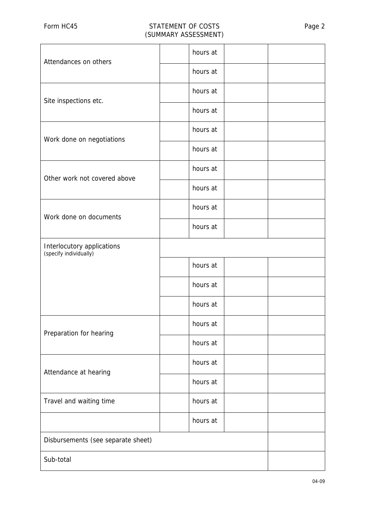## Form HC45 STATEMENT OF COSTS Page 2 (SUMMARY ASSESSMENT)

| Attendances on others                                |  | hours at |  |  |
|------------------------------------------------------|--|----------|--|--|
|                                                      |  | hours at |  |  |
| Site inspections etc.                                |  | hours at |  |  |
|                                                      |  | hours at |  |  |
| Work done on negotiations                            |  | hours at |  |  |
|                                                      |  | hours at |  |  |
| Other work not covered above                         |  | hours at |  |  |
|                                                      |  | hours at |  |  |
| Work done on documents                               |  | hours at |  |  |
|                                                      |  | hours at |  |  |
| Interlocutory applications<br>(specify individually) |  |          |  |  |
|                                                      |  | hours at |  |  |
|                                                      |  | hours at |  |  |
|                                                      |  | hours at |  |  |
| Preparation for hearing                              |  | hours at |  |  |
|                                                      |  | hours at |  |  |
| Attendance at hearing                                |  | hours at |  |  |
|                                                      |  | hours at |  |  |
| Travel and waiting time                              |  | hours at |  |  |
|                                                      |  | hours at |  |  |
| Disbursements (see separate sheet)                   |  |          |  |  |
| Sub-total                                            |  |          |  |  |